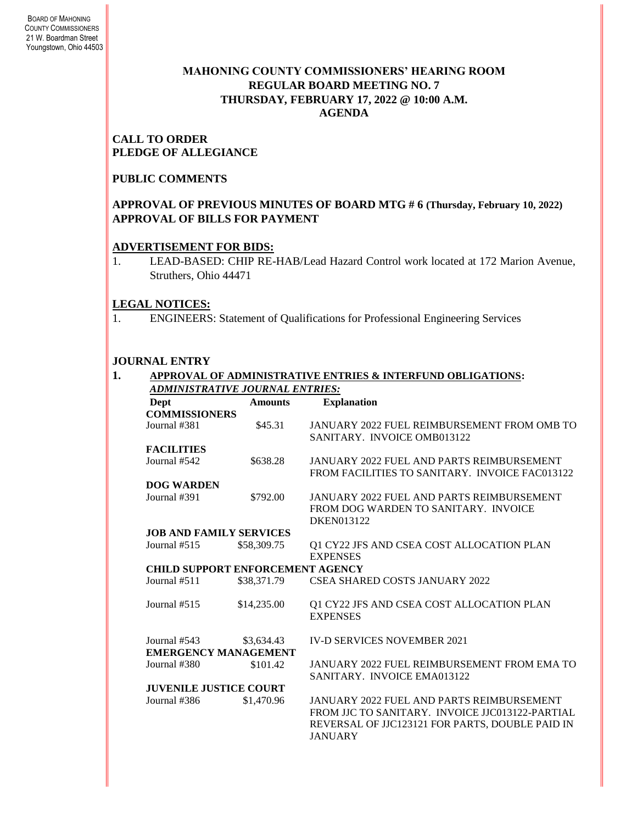# **MAHONING COUNTY COMMISSIONERS' HEARING ROOM REGULAR BOARD MEETING NO. 7 THURSDAY***,* **FEBRUARY 17, 2022 @ 10:00 A.M. AGENDA**

### **CALL TO ORDER PLEDGE OF ALLEGIANCE**

# **PUBLIC COMMENTS**

### **APPROVAL OF PREVIOUS MINUTES OF BOARD MTG # 6 (Thursday, February 10, 2022) APPROVAL OF BILLS FOR PAYMENT**

### **ADVERTISEMENT FOR BIDS:**

1. LEAD-BASED: CHIP RE-HAB/Lead Hazard Control work located at 172 Marion Avenue, Struthers, Ohio 44471

### **LEGAL NOTICES:**

1. ENGINEERS: Statement of Qualifications for Professional Engineering Services

# **JOURNAL ENTRY**

|                                 |                                         | APPROVAL OF ADMINISTRATIVE ENTRIES & INTERFUND OBLIGATIONS: |  |  |  |
|---------------------------------|-----------------------------------------|-------------------------------------------------------------|--|--|--|
| ADMINISTRATIVE JOURNAL ENTRIES: |                                         |                                                             |  |  |  |
| Dept                            | <b>Amounts</b>                          | <b>Explanation</b>                                          |  |  |  |
| <b>COMMISSIONERS</b>            |                                         |                                                             |  |  |  |
| Journal #381                    | \$45.31                                 | <b>JANUARY 2022 FUEL REIMBURSEMENT FROM OMB TO</b>          |  |  |  |
|                                 |                                         | SANITARY. INVOICE OMB013122                                 |  |  |  |
| <b>FACILITIES</b>               |                                         |                                                             |  |  |  |
| Journal #542                    | \$638.28                                | JANUARY 2022 FUEL AND PARTS REIMBURSEMENT                   |  |  |  |
|                                 |                                         | FROM FACILITIES TO SANITARY. INVOICE FAC013122              |  |  |  |
| <b>DOG WARDEN</b>               |                                         |                                                             |  |  |  |
| Journal #391                    | \$792.00                                | JANUARY 2022 FUEL AND PARTS REIMBURSEMENT                   |  |  |  |
|                                 |                                         | FROM DOG WARDEN TO SANITARY. INVOICE                        |  |  |  |
|                                 |                                         | DKEN013122                                                  |  |  |  |
|                                 | <b>JOB AND FAMILY SERVICES</b>          |                                                             |  |  |  |
| Journal $#515$                  | \$58,309.75                             | Q1 CY22 JFS AND CSEA COST ALLOCATION PLAN                   |  |  |  |
|                                 |                                         | <b>EXPENSES</b>                                             |  |  |  |
|                                 | <b>CHILD SUPPORT ENFORCEMENT AGENCY</b> |                                                             |  |  |  |
| Journal $#511$                  | \$38,371.79                             | <b>CSEA SHARED COSTS JANUARY 2022</b>                       |  |  |  |
| Journal $#515$                  | \$14,235.00                             | Q1 CY22 JFS AND CSEA COST ALLOCATION PLAN                   |  |  |  |
|                                 |                                         | <b>EXPENSES</b>                                             |  |  |  |
| Journal #543                    | \$3,634.43                              | <b>IV-D SERVICES NOVEMBER 2021</b>                          |  |  |  |
|                                 | <b>EMERGENCY MANAGEMENT</b>             |                                                             |  |  |  |
| Journal #380                    | \$101.42                                | JANUARY 2022 FUEL REIMBURSEMENT FROM EMA TO                 |  |  |  |
|                                 |                                         | SANITARY. INVOICE EMA013122                                 |  |  |  |
| <b>JUVENILE JUSTICE COURT</b>   |                                         |                                                             |  |  |  |
| Journal #386                    | \$1,470.96                              | <b>JANUARY 2022 FUEL AND PARTS REIMBURSEMENT</b>            |  |  |  |
|                                 |                                         | FROM LIC TO SANITARY. INVOICE LIC013122-PARTIAL             |  |  |  |
|                                 |                                         | REVERSAL OF JJC123121 FOR PARTS, DOUBLE PAID IN             |  |  |  |
|                                 |                                         | <b>JANUARY</b>                                              |  |  |  |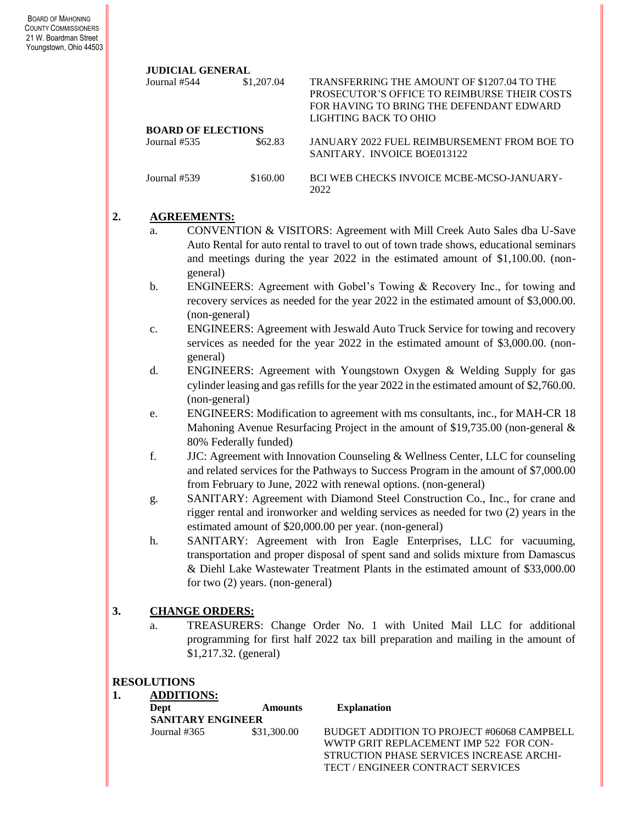#### **JUDICIAL GENERAL**

| Journal #544              | \$1,207.04 | TRANSFERRING THE AMOUNT OF \$1207.04 TO THE<br>PROSECUTOR'S OFFICE TO REIMBURSE THEIR COSTS<br>FOR HAVING TO BRING THE DEFENDANT EDWARD<br>LIGHTING BACK TO OHIO |  |  |  |
|---------------------------|------------|------------------------------------------------------------------------------------------------------------------------------------------------------------------|--|--|--|
| <b>BOARD OF ELECTIONS</b> |            |                                                                                                                                                                  |  |  |  |
| Journal #535              | \$62.83    | JANUARY 2022 FUEL REIMBURSEMENT FROM BOE TO<br>SANITARY. INVOICE BOE013122                                                                                       |  |  |  |
| Journal #539              | \$160.00   | <b>BCI WEB CHECKS INVOICE MCBE-MCSO-JANUARY-</b><br>2022                                                                                                         |  |  |  |

### **2. AGREEMENTS:**

- a. CONVENTION & VISITORS: Agreement with Mill Creek Auto Sales dba U-Save Auto Rental for auto rental to travel to out of town trade shows, educational seminars and meetings during the year 2022 in the estimated amount of \$1,100.00. (nongeneral)
- b. ENGINEERS: Agreement with Gobel's Towing & Recovery Inc., for towing and recovery services as needed for the year 2022 in the estimated amount of \$3,000.00. (non-general)
- c. ENGINEERS: Agreement with Jeswald Auto Truck Service for towing and recovery services as needed for the year 2022 in the estimated amount of \$3,000.00. (nongeneral)
- d. ENGINEERS: Agreement with Youngstown Oxygen & Welding Supply for gas cylinder leasing and gas refills for the year 2022 in the estimated amount of \$2,760.00. (non-general)
- e. ENGINEERS: Modification to agreement with ms consultants, inc., for MAH-CR 18 Mahoning Avenue Resurfacing Project in the amount of \$19,735.00 (non-general & 80% Federally funded)
- f. JJC: Agreement with Innovation Counseling & Wellness Center, LLC for counseling and related services for the Pathways to Success Program in the amount of \$7,000.00 from February to June, 2022 with renewal options. (non-general)
- g. SANITARY: Agreement with Diamond Steel Construction Co., Inc., for crane and rigger rental and ironworker and welding services as needed for two (2) years in the estimated amount of \$20,000.00 per year. (non-general)
- h. SANITARY: Agreement with Iron Eagle Enterprises, LLC for vacuuming, transportation and proper disposal of spent sand and solids mixture from Damascus & Diehl Lake Wastewater Treatment Plants in the estimated amount of \$33,000.00 for two (2) years. (non-general)

### **3. CHANGE ORDERS:**

a. TREASURERS: Change Order No. 1 with United Mail LLC for additional programming for first half 2022 tax bill preparation and mailing in the amount of \$1,217.32. (general)

### **RESOLUTIONS**

### **1. ADDITIONS:**

| Dept                     | <b>Amounts</b> | <b>Explanation</b>                         |
|--------------------------|----------------|--------------------------------------------|
| <b>SANITARY ENGINEER</b> |                |                                            |
| Journal #365             | \$31,300.00    | BUDGET ADDITION TO PROJECT #06068 CAMPBELL |
|                          |                | WWTP GRIT REPLACEMENT IMP 522 FOR CON-     |
|                          |                | STRUCTION PHASE SERVICES INCREASE ARCHI-   |
|                          |                | TECT / ENGINEER CONTRACT SERVICES          |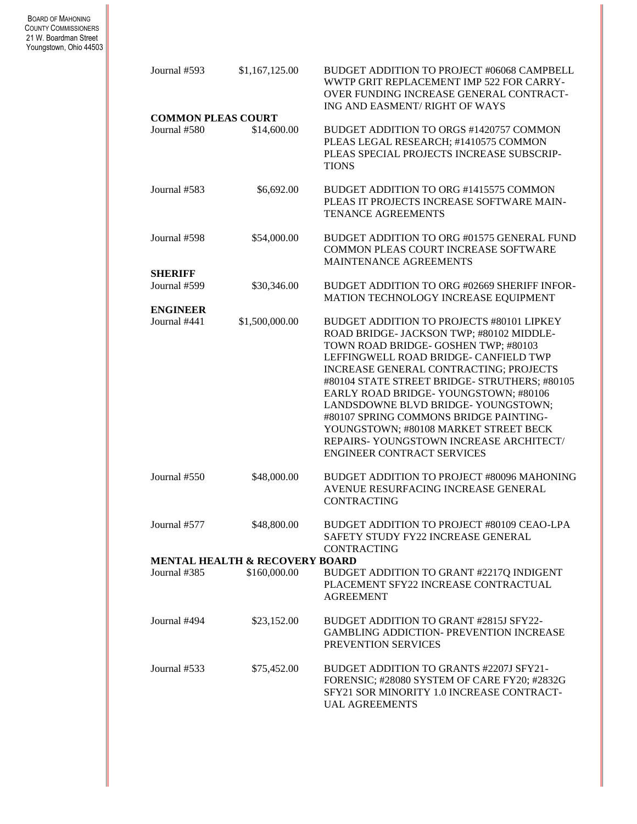BOARD OF MAHONING COUNTY COMMISSIONERS 21 W. Boardman Street Youngstown, Ohio 44503

| Journal #593                              | \$1,167,125.00 | BUDGET ADDITION TO PROJECT #06068 CAMPBELL<br>WWTP GRIT REPLACEMENT IMP 522 FOR CARRY-<br>OVER FUNDING INCREASE GENERAL CONTRACT-<br>ING AND EASMENT/RIGHT OF WAYS                                                                                                                                                                                                                                                                                                                                                |  |  |  |
|-------------------------------------------|----------------|-------------------------------------------------------------------------------------------------------------------------------------------------------------------------------------------------------------------------------------------------------------------------------------------------------------------------------------------------------------------------------------------------------------------------------------------------------------------------------------------------------------------|--|--|--|
| <b>COMMON PLEAS COURT</b><br>Journal #580 | \$14,600.00    | BUDGET ADDITION TO ORGS #1420757 COMMON<br>PLEAS LEGAL RESEARCH; #1410575 COMMON<br>PLEAS SPECIAL PROJECTS INCREASE SUBSCRIP-<br><b>TIONS</b>                                                                                                                                                                                                                                                                                                                                                                     |  |  |  |
| Journal #583                              | \$6,692.00     | BUDGET ADDITION TO ORG #1415575 COMMON<br>PLEAS IT PROJECTS INCREASE SOFTWARE MAIN-<br><b>TENANCE AGREEMENTS</b>                                                                                                                                                                                                                                                                                                                                                                                                  |  |  |  |
| Journal #598                              | \$54,000.00    | BUDGET ADDITION TO ORG #01575 GENERAL FUND<br>COMMON PLEAS COURT INCREASE SOFTWARE<br>MAINTENANCE AGREEMENTS                                                                                                                                                                                                                                                                                                                                                                                                      |  |  |  |
| <b>SHERIFF</b>                            |                |                                                                                                                                                                                                                                                                                                                                                                                                                                                                                                                   |  |  |  |
| Journal #599                              | \$30,346.00    | BUDGET ADDITION TO ORG #02669 SHERIFF INFOR-<br>MATION TECHNOLOGY INCREASE EQUIPMENT                                                                                                                                                                                                                                                                                                                                                                                                                              |  |  |  |
| <b>ENGINEER</b><br>Journal #441           | \$1,500,000.00 | BUDGET ADDITION TO PROJECTS #80101 LIPKEY<br>ROAD BRIDGE- JACKSON TWP; #80102 MIDDLE-<br>TOWN ROAD BRIDGE- GOSHEN TWP; #80103<br>LEFFINGWELL ROAD BRIDGE- CANFIELD TWP<br>INCREASE GENERAL CONTRACTING; PROJECTS<br>#80104 STATE STREET BRIDGE- STRUTHERS; #80105<br>EARLY ROAD BRIDGE-YOUNGSTOWN; #80106<br>LANDSDOWNE BLVD BRIDGE-YOUNGSTOWN;<br>#80107 SPRING COMMONS BRIDGE PAINTING-<br>YOUNGSTOWN; #80108 MARKET STREET BECK<br>REPAIRS-YOUNGSTOWN INCREASE ARCHITECT/<br><b>ENGINEER CONTRACT SERVICES</b> |  |  |  |
| Journal $#550$                            | \$48,000.00    | BUDGET ADDITION TO PROJECT #80096 MAHONING<br>AVENUE RESURFACING INCREASE GENERAL<br><b>CONTRACTING</b>                                                                                                                                                                                                                                                                                                                                                                                                           |  |  |  |
| Journal #577                              | \$48,800.00    | BUDGET ADDITION TO PROJECT #80109 CEAO-LPA<br>SAFETY STUDY FY22 INCREASE GENERAL<br><b>CONTRACTING</b>                                                                                                                                                                                                                                                                                                                                                                                                            |  |  |  |
| MENTAL HEALTH & RECOVERY BOARD            |                |                                                                                                                                                                                                                                                                                                                                                                                                                                                                                                                   |  |  |  |
| Journal #385                              | \$160,000.00   | BUDGET ADDITION TO GRANT #2217Q INDIGENT<br>PLACEMENT SFY22 INCREASE CONTRACTUAL<br><b>AGREEMENT</b>                                                                                                                                                                                                                                                                                                                                                                                                              |  |  |  |
| Journal #494                              | \$23,152.00    | BUDGET ADDITION TO GRANT #2815J SFY22-<br><b>GAMBLING ADDICTION- PREVENTION INCREASE</b><br>PREVENTION SERVICES                                                                                                                                                                                                                                                                                                                                                                                                   |  |  |  |
| Journal #533                              | \$75,452.00    | BUDGET ADDITION TO GRANTS #2207J SFY21-<br>FORENSIC; #28080 SYSTEM OF CARE FY20; #2832G<br>SFY21 SOR MINORITY 1.0 INCREASE CONTRACT-<br><b>UAL AGREEMENTS</b>                                                                                                                                                                                                                                                                                                                                                     |  |  |  |